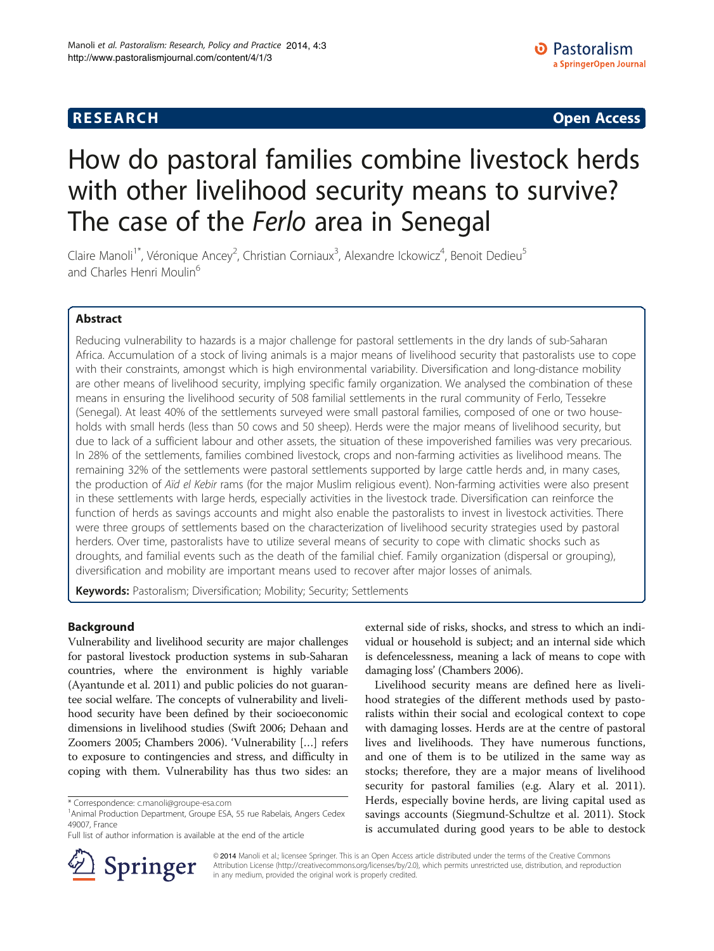# **RESEARCH CHINESE ARCH CHINESE ARCH CHINESE ARCH <b>CHINESE ARCH**

# How do pastoral families combine livestock herds with other livelihood security means to survive? The case of the Ferlo area in Senegal

Claire Manoli<sup>1\*</sup>, Véronique Ancey<sup>2</sup>, Christian Corniaux<sup>3</sup>, Alexandre Ickowicz<sup>4</sup>, Benoit Dedieu<sup>5</sup> and Charles Henri Moulin<sup>6</sup>

# Abstract

Reducing vulnerability to hazards is a major challenge for pastoral settlements in the dry lands of sub-Saharan Africa. Accumulation of a stock of living animals is a major means of livelihood security that pastoralists use to cope with their constraints, amongst which is high environmental variability. Diversification and long-distance mobility are other means of livelihood security, implying specific family organization. We analysed the combination of these means in ensuring the livelihood security of 508 familial settlements in the rural community of Ferlo, Tessekre (Senegal). At least 40% of the settlements surveyed were small pastoral families, composed of one or two households with small herds (less than 50 cows and 50 sheep). Herds were the major means of livelihood security, but due to lack of a sufficient labour and other assets, the situation of these impoverished families was very precarious. In 28% of the settlements, families combined livestock, crops and non-farming activities as livelihood means. The remaining 32% of the settlements were pastoral settlements supported by large cattle herds and, in many cases, the production of Aïd el Kebir rams (for the major Muslim religious event). Non-farming activities were also present in these settlements with large herds, especially activities in the livestock trade. Diversification can reinforce the function of herds as savings accounts and might also enable the pastoralists to invest in livestock activities. There were three groups of settlements based on the characterization of livelihood security strategies used by pastoral herders. Over time, pastoralists have to utilize several means of security to cope with climatic shocks such as droughts, and familial events such as the death of the familial chief. Family organization (dispersal or grouping), diversification and mobility are important means used to recover after major losses of animals.

Keywords: Pastoralism; Diversification; Mobility; Security; Settlements

# Background

Vulnerability and livelihood security are major challenges for pastoral livestock production systems in sub-Saharan countries, where the environment is highly variable (Ayantunde et al. [2011](#page-10-0)) and public policies do not guarantee social welfare. The concepts of vulnerability and livelihood security have been defined by their socioeconomic dimensions in livelihood studies (Swift [2006](#page-10-0); Dehaan and Zoomers [2005](#page-10-0); Chambers [2006](#page-10-0)). 'Vulnerability […] refers to exposure to contingencies and stress, and difficulty in coping with them. Vulnerability has thus two sides: an



Livelihood security means are defined here as livelihood strategies of the different methods used by pastoralists within their social and ecological context to cope with damaging losses. Herds are at the centre of pastoral lives and livelihoods. They have numerous functions, and one of them is to be utilized in the same way as stocks; therefore, they are a major means of livelihood security for pastoral families (e.g. Alary et al. [2011](#page-10-0)). Herds, especially bovine herds, are living capital used as savings accounts (Siegmund-Schultze et al. [2011\)](#page-10-0). Stock is accumulated during good years to be able to destock



© 2014 Manoli et al.; licensee Springer. This is an Open Access article distributed under the terms of the Creative Commons Attribution License [\(http://creativecommons.org/licenses/by/2.0\)](http://creativecommons.org/licenses/by/2.0), which permits unrestricted use, distribution, and reproduction in any medium, provided the original work is properly credited.

<sup>\*</sup> Correspondence: [c.manoli@groupe-esa.com](mailto:c.manoli@groupe-esa.com) <sup>1</sup>

<sup>&</sup>lt;sup>1</sup> Animal Production Department, Groupe ESA, 55 rue Rabelais, Angers Cedex 49007, France

Full list of author information is available at the end of the article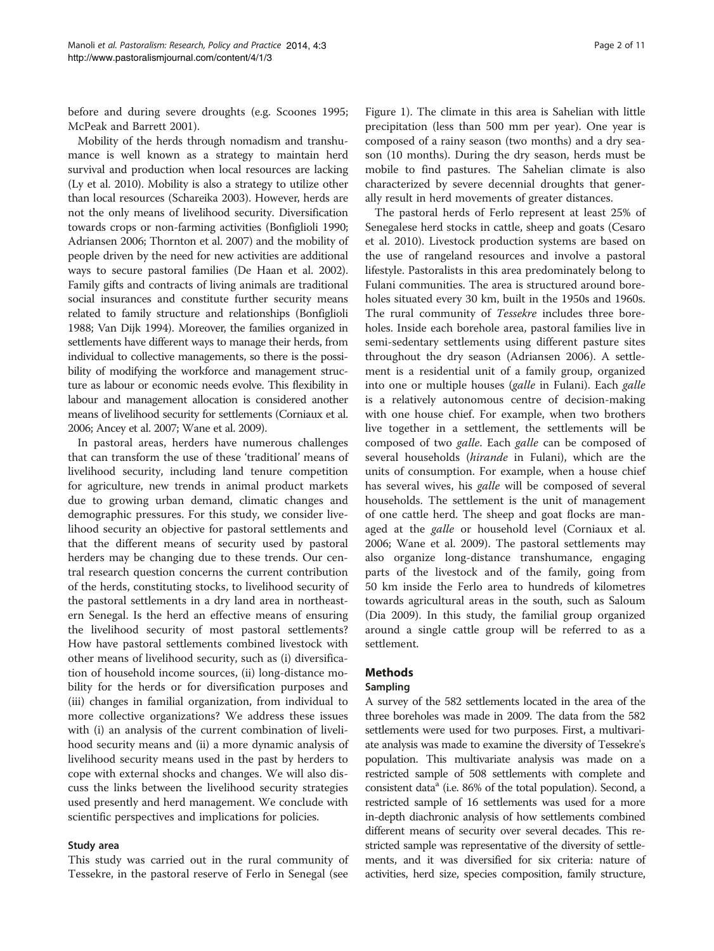before and during severe droughts (e.g. Scoones [1995](#page-10-0); McPeak and Barrett [2001](#page-10-0)).

Mobility of the herds through nomadism and transhumance is well known as a strategy to maintain herd survival and production when local resources are lacking (Ly et al. [2010\)](#page-10-0). Mobility is also a strategy to utilize other than local resources (Schareika [2003](#page-10-0)). However, herds are not the only means of livelihood security. Diversification towards crops or non-farming activities (Bonfiglioli [1990](#page-10-0); Adriansen [2006;](#page-9-0) Thornton et al. [2007\)](#page-10-0) and the mobility of people driven by the need for new activities are additional ways to secure pastoral families (De Haan et al. [2002](#page-10-0)). Family gifts and contracts of living animals are traditional social insurances and constitute further security means related to family structure and relationships (Bonfiglioli [1988;](#page-10-0) Van Dijk [1994](#page-10-0)). Moreover, the families organized in settlements have different ways to manage their herds, from individual to collective managements, so there is the possibility of modifying the workforce and management structure as labour or economic needs evolve. This flexibility in labour and management allocation is considered another means of livelihood security for settlements (Corniaux et al. [2006;](#page-10-0) Ancey et al. [2007](#page-10-0); Wane et al. [2009\)](#page-10-0).

In pastoral areas, herders have numerous challenges that can transform the use of these 'traditional' means of livelihood security, including land tenure competition for agriculture, new trends in animal product markets due to growing urban demand, climatic changes and demographic pressures. For this study, we consider livelihood security an objective for pastoral settlements and that the different means of security used by pastoral herders may be changing due to these trends. Our central research question concerns the current contribution of the herds, constituting stocks, to livelihood security of the pastoral settlements in a dry land area in northeastern Senegal. Is the herd an effective means of ensuring the livelihood security of most pastoral settlements? How have pastoral settlements combined livestock with other means of livelihood security, such as (i) diversification of household income sources, (ii) long-distance mobility for the herds or for diversification purposes and (iii) changes in familial organization, from individual to more collective organizations? We address these issues with (i) an analysis of the current combination of livelihood security means and (ii) a more dynamic analysis of livelihood security means used in the past by herders to cope with external shocks and changes. We will also discuss the links between the livelihood security strategies used presently and herd management. We conclude with scientific perspectives and implications for policies.

# Study area

This study was carried out in the rural community of Tessekre, in the pastoral reserve of Ferlo in Senegal (see

Figure [1\)](#page-2-0). The climate in this area is Sahelian with little precipitation (less than 500 mm per year). One year is composed of a rainy season (two months) and a dry season (10 months). During the dry season, herds must be mobile to find pastures. The Sahelian climate is also characterized by severe decennial droughts that generally result in herd movements of greater distances.

The pastoral herds of Ferlo represent at least 25% of Senegalese herd stocks in cattle, sheep and goats (Cesaro et al. [2010\)](#page-10-0). Livestock production systems are based on the use of rangeland resources and involve a pastoral lifestyle. Pastoralists in this area predominately belong to Fulani communities. The area is structured around boreholes situated every 30 km, built in the 1950s and 1960s. The rural community of Tessekre includes three boreholes. Inside each borehole area, pastoral families live in semi-sedentary settlements using different pasture sites throughout the dry season (Adriansen [2006\)](#page-9-0). A settlement is a residential unit of a family group, organized into one or multiple houses (galle in Fulani). Each galle is a relatively autonomous centre of decision-making with one house chief. For example, when two brothers live together in a settlement, the settlements will be composed of two galle. Each galle can be composed of several households (hirande in Fulani), which are the units of consumption. For example, when a house chief has several wives, his galle will be composed of several households. The settlement is the unit of management of one cattle herd. The sheep and goat flocks are managed at the galle or household level (Corniaux et al. [2006](#page-10-0); Wane et al. [2009](#page-10-0)). The pastoral settlements may also organize long-distance transhumance, engaging parts of the livestock and of the family, going from 50 km inside the Ferlo area to hundreds of kilometres towards agricultural areas in the south, such as Saloum (Dia [2009](#page-10-0)). In this study, the familial group organized around a single cattle group will be referred to as a settlement.

# Methods

# Sampling

A survey of the 582 settlements located in the area of the three boreholes was made in 2009. The data from the 582 settlements were used for two purposes. First, a multivariate analysis was made to examine the diversity of Tessekre's population. This multivariate analysis was made on a restricted sample of 508 settlements with complete and consistent data<sup>a</sup> (i.e. 86% of the total population). Second, a restricted sample of 16 settlements was used for a more in-depth diachronic analysis of how settlements combined different means of security over several decades. This restricted sample was representative of the diversity of settlements, and it was diversified for six criteria: nature of activities, herd size, species composition, family structure,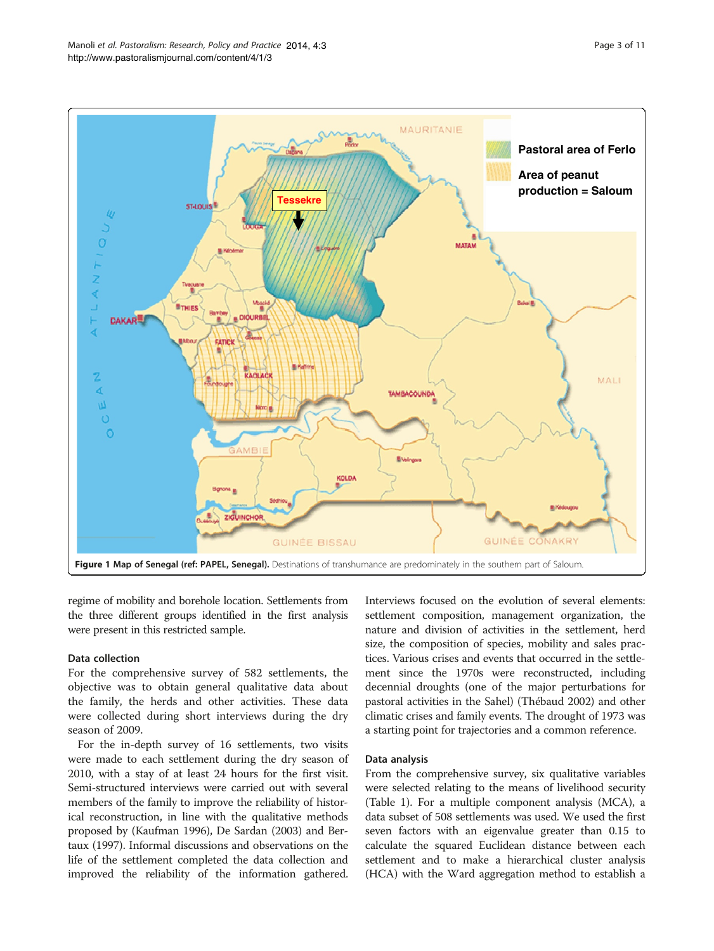<span id="page-2-0"></span>

regime of mobility and borehole location. Settlements from the three different groups identified in the first analysis were present in this restricted sample.

# Data collection

For the comprehensive survey of 582 settlements, the objective was to obtain general qualitative data about the family, the herds and other activities. These data were collected during short interviews during the dry season of 2009.

For the in-depth survey of 16 settlements, two visits were made to each settlement during the dry season of 2010, with a stay of at least 24 hours for the first visit. Semi-structured interviews were carried out with several members of the family to improve the reliability of historical reconstruction, in line with the qualitative methods proposed by (Kaufman [1996](#page-10-0)), De Sardan ([2003\)](#page-10-0) and Bertaux [\(1997](#page-10-0)). Informal discussions and observations on the life of the settlement completed the data collection and improved the reliability of the information gathered.

Interviews focused on the evolution of several elements: settlement composition, management organization, the nature and division of activities in the settlement, herd size, the composition of species, mobility and sales practices. Various crises and events that occurred in the settlement since the 1970s were reconstructed, including decennial droughts (one of the major perturbations for pastoral activities in the Sahel) (Thébaud [2002](#page-10-0)) and other climatic crises and family events. The drought of 1973 was a starting point for trajectories and a common reference.

## Data analysis

From the comprehensive survey, six qualitative variables were selected relating to the means of livelihood security (Table [1\)](#page-3-0). For a multiple component analysis (MCA), a data subset of 508 settlements was used. We used the first seven factors with an eigenvalue greater than 0.15 to calculate the squared Euclidean distance between each settlement and to make a hierarchical cluster analysis (HCA) with the Ward aggregation method to establish a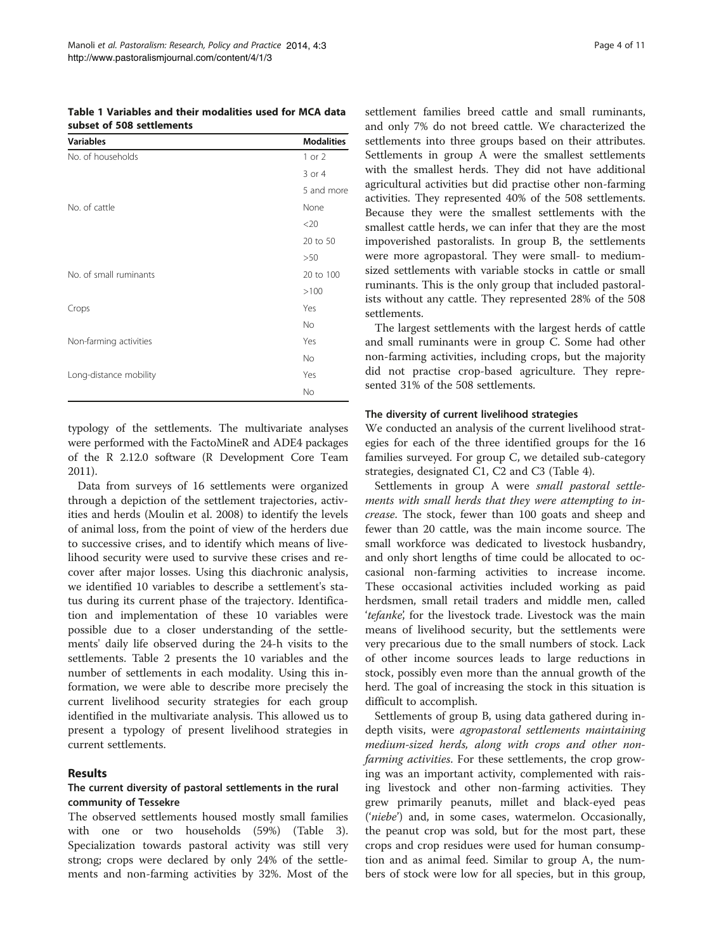<span id="page-3-0"></span>Table 1 Variables and their modalities used for MCA data subset of 508 settlements

| <b>Variables</b>       | <b>Modalities</b> |
|------------------------|-------------------|
| No. of households      | 1 or 2            |
|                        | 3 or 4            |
|                        | 5 and more        |
| No. of cattle          | None              |
|                        | <20               |
|                        | 20 to 50          |
|                        | >50               |
| No. of small ruminants | 20 to 100         |
|                        | >100              |
| Crops                  | Yes               |
|                        | <b>No</b>         |
| Non-farming activities | Yes               |
|                        | No.               |
| Long-distance mobility | Yes               |
|                        | No                |

typology of the settlements. The multivariate analyses were performed with the FactoMineR and ADE4 packages of the R 2.12.0 software (R Development Core Team [2011\)](#page-10-0).

Data from surveys of 16 settlements were organized through a depiction of the settlement trajectories, activities and herds (Moulin et al. [2008](#page-10-0)) to identify the levels of animal loss, from the point of view of the herders due to successive crises, and to identify which means of livelihood security were used to survive these crises and recover after major losses. Using this diachronic analysis, we identified 10 variables to describe a settlement's status during its current phase of the trajectory. Identification and implementation of these 10 variables were possible due to a closer understanding of the settlements' daily life observed during the 24-h visits to the settlements. Table [2](#page-4-0) presents the 10 variables and the number of settlements in each modality. Using this information, we were able to describe more precisely the current livelihood security strategies for each group identified in the multivariate analysis. This allowed us to present a typology of present livelihood strategies in current settlements.

# Results

# The current diversity of pastoral settlements in the rural community of Tessekre

The observed settlements housed mostly small families with one or two households (59%) (Table [3](#page-4-0)). Specialization towards pastoral activity was still very strong; crops were declared by only 24% of the settlements and non-farming activities by 32%. Most of the

settlement families breed cattle and small ruminants, and only 7% do not breed cattle. We characterized the settlements into three groups based on their attributes. Settlements in group A were the smallest settlements with the smallest herds. They did not have additional agricultural activities but did practise other non-farming activities. They represented 40% of the 508 settlements. Because they were the smallest settlements with the smallest cattle herds, we can infer that they are the most impoverished pastoralists. In group B, the settlements were more agropastoral. They were small- to mediumsized settlements with variable stocks in cattle or small ruminants. This is the only group that included pastoralists without any cattle. They represented 28% of the 508 settlements.

The largest settlements with the largest herds of cattle and small ruminants were in group C. Some had other non-farming activities, including crops, but the majority did not practise crop-based agriculture. They represented 31% of the 508 settlements.

# The diversity of current livelihood strategies

We conducted an analysis of the current livelihood strategies for each of the three identified groups for the 16 families surveyed. For group C, we detailed sub-category strategies, designated C1, C2 and C3 (Table [4](#page-5-0)).

Settlements in group A were small pastoral settlements with small herds that they were attempting to increase. The stock, fewer than 100 goats and sheep and fewer than 20 cattle, was the main income source. The small workforce was dedicated to livestock husbandry, and only short lengths of time could be allocated to occasional non-farming activities to increase income. These occasional activities included working as paid herdsmen, small retail traders and middle men, called 'tefanke', for the livestock trade. Livestock was the main means of livelihood security, but the settlements were very precarious due to the small numbers of stock. Lack of other income sources leads to large reductions in stock, possibly even more than the annual growth of the herd. The goal of increasing the stock in this situation is difficult to accomplish.

Settlements of group B, using data gathered during indepth visits, were agropastoral settlements maintaining medium-sized herds, along with crops and other nonfarming activities. For these settlements, the crop growing was an important activity, complemented with raising livestock and other non-farming activities. They grew primarily peanuts, millet and black-eyed peas ('niebe') and, in some cases, watermelon. Occasionally, the peanut crop was sold, but for the most part, these crops and crop residues were used for human consumption and as animal feed. Similar to group A, the numbers of stock were low for all species, but in this group,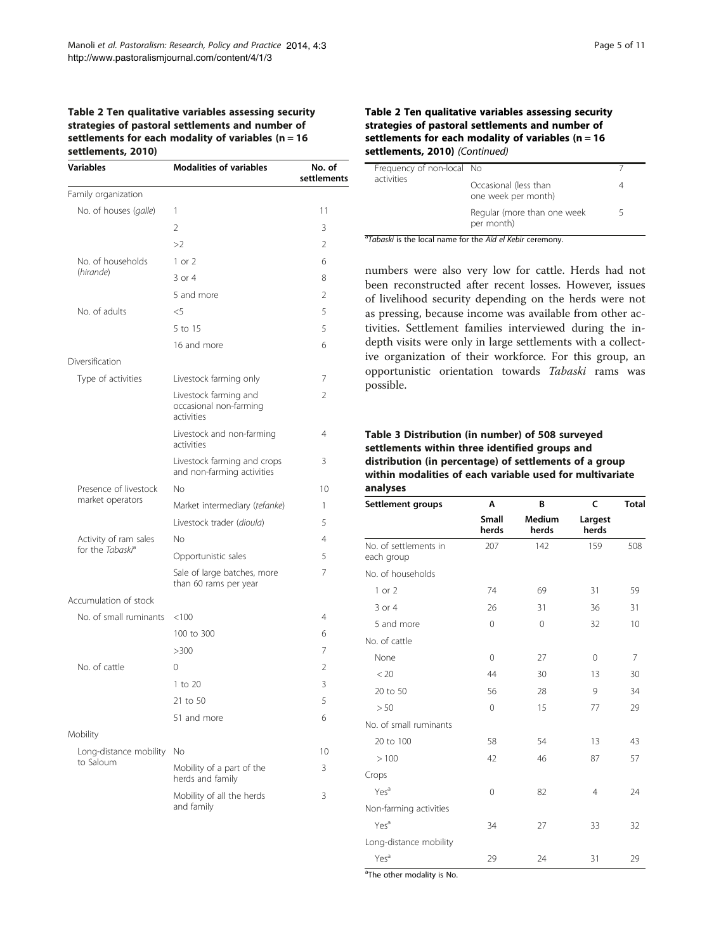# <span id="page-4-0"></span>Table 2 Ten qualitative variables assessing security strategies of pastoral settlements and number of settlements for each modality of variables ( $n = 16$ settlements, 2010)

| <b>Variables</b>                    | <b>Modalities of variables</b>                                | No. of<br>settlements |  |
|-------------------------------------|---------------------------------------------------------------|-----------------------|--|
| Family organization                 |                                                               |                       |  |
| No. of houses (galle)               | 1                                                             | 11                    |  |
|                                     | $\overline{2}$                                                | 3                     |  |
|                                     | >2                                                            | 2                     |  |
| No. of households                   | $1$ or $2$                                                    | 6                     |  |
| (hirande)                           | $3$ or $4$                                                    | 8                     |  |
|                                     | 5 and more                                                    | 2                     |  |
| No. of adults                       | $<$ 5                                                         | 5                     |  |
|                                     | 5 to 15                                                       | 5                     |  |
|                                     | 16 and more                                                   | 6                     |  |
| Diversification                     |                                                               |                       |  |
| Type of activities                  | Livestock farming only                                        | 7                     |  |
|                                     | Livestock farming and<br>occasional non-farming<br>activities | 2                     |  |
|                                     | Livestock and non-farming<br>activities                       | 4                     |  |
|                                     | Livestock farming and crops<br>and non-farming activities     | 3                     |  |
| Presence of livestock               | No                                                            | 10                    |  |
| market operators                    | Market intermediary (tefanke)                                 | 1                     |  |
|                                     | Livestock trader (dioula)                                     | 5                     |  |
| Activity of ram sales               | No                                                            | 4                     |  |
| for the Tabaski <sup>a</sup>        | Opportunistic sales                                           | 5                     |  |
|                                     | Sale of large batches, more<br>than 60 rams per year          | 7                     |  |
| Accumulation of stock               |                                                               |                       |  |
| No. of small ruminants              | < 100                                                         | 4                     |  |
|                                     | 100 to 300                                                    | 6                     |  |
|                                     | >300                                                          | 7                     |  |
| No. of cattle                       | $\Omega$                                                      | 2                     |  |
|                                     | 1 to 20                                                       | 3                     |  |
|                                     | 21 to 50                                                      | 5                     |  |
|                                     | 51 and more                                                   | 6                     |  |
| Mobility                            |                                                               |                       |  |
| Long-distance mobility<br>to Saloum | No                                                            | 10                    |  |
|                                     | Mobility of a part of the<br>herds and family                 | 3                     |  |
|                                     | Mobility of all the herds<br>and family                       | 3                     |  |

# Table 2 Ten qualitative variables assessing security strategies of pastoral settlements and number of settlements for each modality of variables ( $n = 16$ settlements, 2010) (Continued)

| Frequency of non-local No<br>activities |                                              |  |
|-----------------------------------------|----------------------------------------------|--|
|                                         | Occasional (less than<br>one week per month) |  |
|                                         | Regular (more than one week<br>per month)    |  |

<sup>a</sup>Tabaski is the local name for the Aïd el Kebir ceremony.

numbers were also very low for cattle. Herds had not been reconstructed after recent losses. However, issues of livelihood security depending on the herds were not as pressing, because income was available from other activities. Settlement families interviewed during the indepth visits were only in large settlements with a collective organization of their workforce. For this group, an opportunistic orientation towards Tabaski rams was possible.

# Table 3 Distribution (in number) of 508 surveyed settlements within three identified groups and distribution (in percentage) of settlements of a group within modalities of each variable used for multivariate analyses

| Settlement groups      | Α<br><b>Small</b><br>herds | B<br>Medium<br>herds | C<br>Largest<br>herds | <b>Total</b> |
|------------------------|----------------------------|----------------------|-----------------------|--------------|
|                        |                            |                      |                       |              |
| No. of households      |                            |                      |                       |              |
| $1$ or $2$             | 74                         | 69                   | 31                    | 59           |
| 3 or 4                 | 26                         | 31                   | 36                    | 31           |
| 5 and more             | $\Omega$                   | $\mathbf 0$          | 32                    | 10           |
| No. of cattle          |                            |                      |                       |              |
| None                   | $\Omega$                   | 27                   | 0                     | 7            |
| < 20                   | 44                         | 30                   | 13                    | 30           |
| 20 to 50               | 56                         | 28                   | 9                     | 34           |
| > 50                   | $\Omega$                   | 15                   | 77                    | 29           |
| No. of small ruminants |                            |                      |                       |              |
| 20 to 100              | 58                         | 54                   | 13                    | 43           |
| >100                   | 42                         | 46                   | 87                    | 57           |
| Crops                  |                            |                      |                       |              |
| Yes <sup>a</sup>       | 0                          | 82                   | 4                     | 24           |
| Non-farming activities |                            |                      |                       |              |
| Yes <sup>a</sup>       | 34                         | 27                   | 33                    | 32           |
| Long-distance mobility |                            |                      |                       |              |
| Yes <sup>a</sup>       | 29                         | 24                   | 31                    | 29           |

<sup>a</sup>The other modality is No.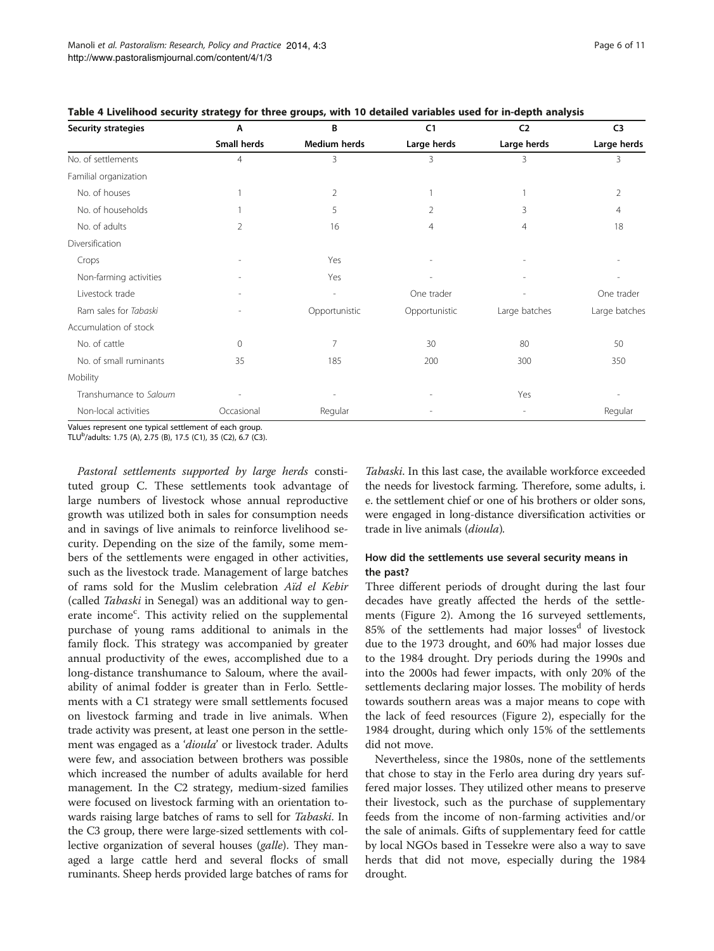| <b>Security strategies</b> | A<br>Small herds | B<br><b>Medium herds</b> | C <sub>1</sub><br>Large herds | C <sub>2</sub><br>Large herds | C <sub>3</sub><br>Large herds |
|----------------------------|------------------|--------------------------|-------------------------------|-------------------------------|-------------------------------|
|                            |                  |                          |                               |                               |                               |
| Familial organization      |                  |                          |                               |                               |                               |
| No. of houses              |                  | 2                        |                               |                               | 2                             |
| No. of households          |                  | 5                        | 2                             | 3                             | 4                             |
| No. of adults              | 2                | 16                       | 4                             | 4                             | 18                            |
| Diversification            |                  |                          |                               |                               |                               |
| Crops                      |                  | Yes                      |                               | $\overline{\phantom{a}}$      |                               |
| Non-farming activities     |                  | Yes                      |                               | $\overline{a}$                |                               |
| Livestock trade            |                  | ٠                        | One trader                    |                               | One trader                    |
| Ram sales for Tabaski      |                  | Opportunistic            | Opportunistic                 | Large batches                 | Large batches                 |
| Accumulation of stock      |                  |                          |                               |                               |                               |
| No. of cattle              | $\mathbf{0}$     | $\overline{7}$           | 30                            | 80                            | 50                            |
| No. of small ruminants     | 35               | 185                      | 200                           | 300                           | 350                           |
| Mobility                   |                  |                          |                               |                               |                               |
| Transhumance to Saloum     |                  |                          |                               | Yes                           |                               |
| Non-local activities       | Occasional       | Regular                  |                               | $\overline{a}$                | Regular                       |

<span id="page-5-0"></span>Table 4 Livelihood security strategy for three groups, with 10 detailed variables used for in-depth analysis

Values represent one typical settlement of each group.

TLU<sup>b</sup> /adults: 1.75 (A), 2.75 (B), 17.5 (C1), 35 (C2), 6.7 (C3).

Pastoral settlements supported by large herds constituted group C. These settlements took advantage of large numbers of livestock whose annual reproductive growth was utilized both in sales for consumption needs and in savings of live animals to reinforce livelihood security. Depending on the size of the family, some members of the settlements were engaged in other activities, such as the livestock trade. Management of large batches of rams sold for the Muslim celebration Aïd el Kebir (called Tabaski in Senegal) was an additional way to generate income<sup>c</sup>. This activity relied on the supplemental purchase of young rams additional to animals in the family flock. This strategy was accompanied by greater annual productivity of the ewes, accomplished due to a long-distance transhumance to Saloum, where the availability of animal fodder is greater than in Ferlo. Settlements with a C1 strategy were small settlements focused on livestock farming and trade in live animals. When trade activity was present, at least one person in the settlement was engaged as a 'dioula' or livestock trader. Adults were few, and association between brothers was possible which increased the number of adults available for herd management. In the C2 strategy, medium-sized families were focused on livestock farming with an orientation towards raising large batches of rams to sell for Tabaski. In the C3 group, there were large-sized settlements with collective organization of several houses (*galle*). They managed a large cattle herd and several flocks of small ruminants. Sheep herds provided large batches of rams for Tabaski. In this last case, the available workforce exceeded the needs for livestock farming. Therefore, some adults, i. e. the settlement chief or one of his brothers or older sons, were engaged in long-distance diversification activities or trade in live animals (dioula).

# How did the settlements use several security means in the past?

Three different periods of drought during the last four decades have greatly affected the herds of the settlements (Figure [2\)](#page-6-0). Among the 16 surveyed settlements, 85% of the settlements had major losses<sup>d</sup> of livestock due to the 1973 drought, and 60% had major losses due to the 1984 drought. Dry periods during the 1990s and into the 2000s had fewer impacts, with only 20% of the settlements declaring major losses. The mobility of herds towards southern areas was a major means to cope with the lack of feed resources (Figure [2](#page-6-0)), especially for the 1984 drought, during which only 15% of the settlements did not move.

Nevertheless, since the 1980s, none of the settlements that chose to stay in the Ferlo area during dry years suffered major losses. They utilized other means to preserve their livestock, such as the purchase of supplementary feeds from the income of non-farming activities and/or the sale of animals. Gifts of supplementary feed for cattle by local NGOs based in Tessekre were also a way to save herds that did not move, especially during the 1984 drought.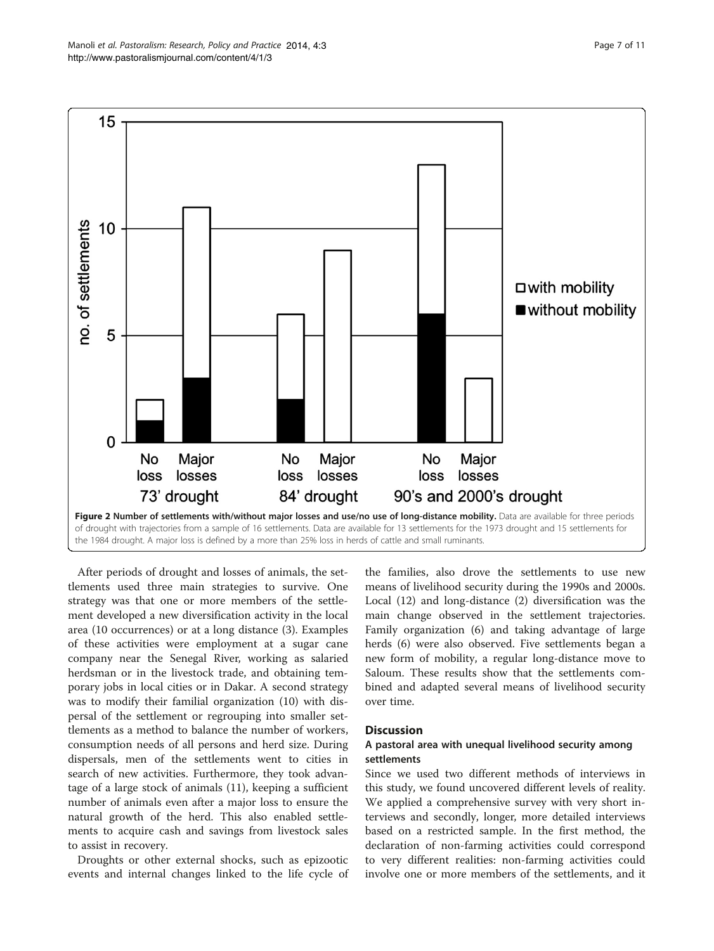<span id="page-6-0"></span>

After periods of drought and losses of animals, the settlements used three main strategies to survive. One strategy was that one or more members of the settlement developed a new diversification activity in the local area (10 occurrences) or at a long distance (3). Examples of these activities were employment at a sugar cane company near the Senegal River, working as salaried herdsman or in the livestock trade, and obtaining temporary jobs in local cities or in Dakar. A second strategy was to modify their familial organization (10) with dispersal of the settlement or regrouping into smaller settlements as a method to balance the number of workers, consumption needs of all persons and herd size. During dispersals, men of the settlements went to cities in search of new activities. Furthermore, they took advantage of a large stock of animals (11), keeping a sufficient number of animals even after a major loss to ensure the natural growth of the herd. This also enabled settlements to acquire cash and savings from livestock sales to assist in recovery.

Droughts or other external shocks, such as epizootic events and internal changes linked to the life cycle of

the families, also drove the settlements to use new means of livelihood security during the 1990s and 2000s. Local (12) and long-distance (2) diversification was the main change observed in the settlement trajectories. Family organization (6) and taking advantage of large herds (6) were also observed. Five settlements began a new form of mobility, a regular long-distance move to Saloum. These results show that the settlements combined and adapted several means of livelihood security over time.

# **Discussion**

# A pastoral area with unequal livelihood security among settlements

Since we used two different methods of interviews in this study, we found uncovered different levels of reality. We applied a comprehensive survey with very short interviews and secondly, longer, more detailed interviews based on a restricted sample. In the first method, the declaration of non-farming activities could correspond to very different realities: non-farming activities could involve one or more members of the settlements, and it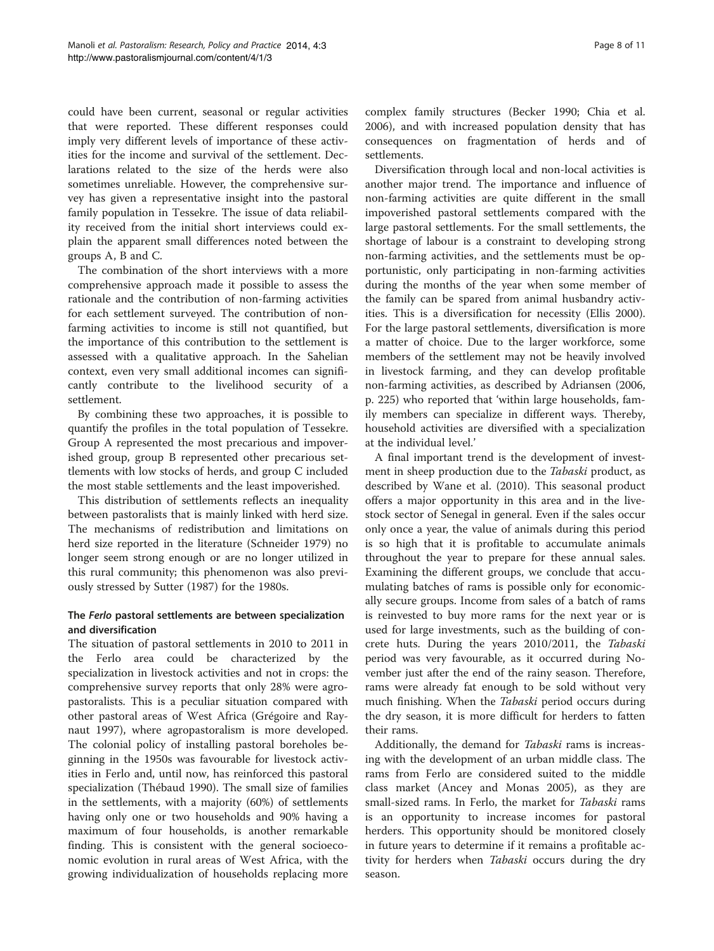could have been current, seasonal or regular activities that were reported. These different responses could imply very different levels of importance of these activities for the income and survival of the settlement. Declarations related to the size of the herds were also sometimes unreliable. However, the comprehensive survey has given a representative insight into the pastoral family population in Tessekre. The issue of data reliability received from the initial short interviews could explain the apparent small differences noted between the groups A, B and C.

The combination of the short interviews with a more comprehensive approach made it possible to assess the rationale and the contribution of non-farming activities for each settlement surveyed. The contribution of nonfarming activities to income is still not quantified, but the importance of this contribution to the settlement is assessed with a qualitative approach. In the Sahelian context, even very small additional incomes can significantly contribute to the livelihood security of a settlement.

By combining these two approaches, it is possible to quantify the profiles in the total population of Tessekre. Group A represented the most precarious and impoverished group, group B represented other precarious settlements with low stocks of herds, and group C included the most stable settlements and the least impoverished.

This distribution of settlements reflects an inequality between pastoralists that is mainly linked with herd size. The mechanisms of redistribution and limitations on herd size reported in the literature (Schneider [1979](#page-10-0)) no longer seem strong enough or are no longer utilized in this rural community; this phenomenon was also previously stressed by Sutter [\(1987\)](#page-10-0) for the 1980s.

# The Ferlo pastoral settlements are between specialization and diversification

The situation of pastoral settlements in 2010 to 2011 in the Ferlo area could be characterized by the specialization in livestock activities and not in crops: the comprehensive survey reports that only 28% were agropastoralists. This is a peculiar situation compared with other pastoral areas of West Africa (Grégoire and Raynaut [1997\)](#page-10-0), where agropastoralism is more developed. The colonial policy of installing pastoral boreholes beginning in the 1950s was favourable for livestock activities in Ferlo and, until now, has reinforced this pastoral specialization (Thébaud [1990](#page-10-0)). The small size of families in the settlements, with a majority (60%) of settlements having only one or two households and 90% having a maximum of four households, is another remarkable finding. This is consistent with the general socioeconomic evolution in rural areas of West Africa, with the growing individualization of households replacing more complex family structures (Becker [1990](#page-10-0); Chia et al. [2006](#page-10-0)), and with increased population density that has consequences on fragmentation of herds and of settlements.

Diversification through local and non-local activities is another major trend. The importance and influence of non-farming activities are quite different in the small impoverished pastoral settlements compared with the large pastoral settlements. For the small settlements, the shortage of labour is a constraint to developing strong non-farming activities, and the settlements must be opportunistic, only participating in non-farming activities during the months of the year when some member of the family can be spared from animal husbandry activities. This is a diversification for necessity (Ellis [2000](#page-10-0)). For the large pastoral settlements, diversification is more a matter of choice. Due to the larger workforce, some members of the settlement may not be heavily involved in livestock farming, and they can develop profitable non-farming activities, as described by Adriansen ([2006](#page-9-0), p. 225) who reported that 'within large households, family members can specialize in different ways. Thereby, household activities are diversified with a specialization at the individual level.'

A final important trend is the development of investment in sheep production due to the Tabaski product, as described by Wane et al. [\(2010\)](#page-10-0). This seasonal product offers a major opportunity in this area and in the livestock sector of Senegal in general. Even if the sales occur only once a year, the value of animals during this period is so high that it is profitable to accumulate animals throughout the year to prepare for these annual sales. Examining the different groups, we conclude that accumulating batches of rams is possible only for economically secure groups. Income from sales of a batch of rams is reinvested to buy more rams for the next year or is used for large investments, such as the building of concrete huts. During the years 2010/2011, the Tabaski period was very favourable, as it occurred during November just after the end of the rainy season. Therefore, rams were already fat enough to be sold without very much finishing. When the *Tabaski* period occurs during the dry season, it is more difficult for herders to fatten their rams.

Additionally, the demand for Tabaski rams is increasing with the development of an urban middle class. The rams from Ferlo are considered suited to the middle class market (Ancey and Monas [2005\)](#page-9-0), as they are small-sized rams. In Ferlo, the market for Tabaski rams is an opportunity to increase incomes for pastoral herders. This opportunity should be monitored closely in future years to determine if it remains a profitable activity for herders when Tabaski occurs during the dry season.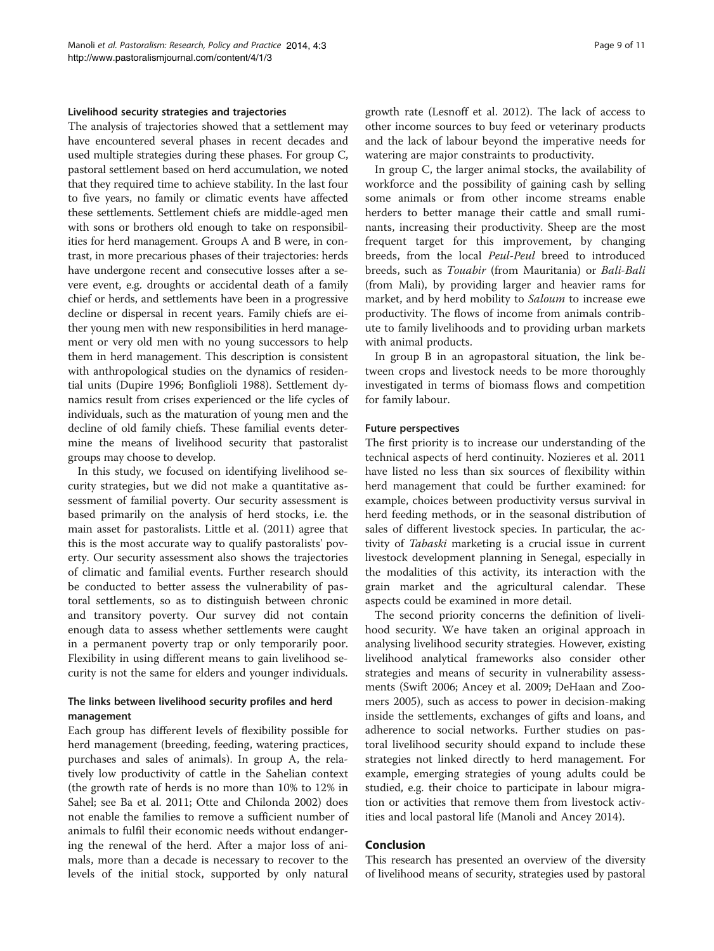# Livelihood security strategies and trajectories

The analysis of trajectories showed that a settlement may have encountered several phases in recent decades and used multiple strategies during these phases. For group C, pastoral settlement based on herd accumulation, we noted that they required time to achieve stability. In the last four to five years, no family or climatic events have affected these settlements. Settlement chiefs are middle-aged men with sons or brothers old enough to take on responsibilities for herd management. Groups A and B were, in contrast, in more precarious phases of their trajectories: herds have undergone recent and consecutive losses after a severe event, e.g. droughts or accidental death of a family chief or herds, and settlements have been in a progressive decline or dispersal in recent years. Family chiefs are either young men with new responsibilities in herd management or very old men with no young successors to help them in herd management. This description is consistent with anthropological studies on the dynamics of residential units (Dupire [1996](#page-10-0); Bonfiglioli [1988](#page-10-0)). Settlement dynamics result from crises experienced or the life cycles of individuals, such as the maturation of young men and the decline of old family chiefs. These familial events determine the means of livelihood security that pastoralist groups may choose to develop.

In this study, we focused on identifying livelihood security strategies, but we did not make a quantitative assessment of familial poverty. Our security assessment is based primarily on the analysis of herd stocks, i.e. the main asset for pastoralists. Little et al. ([2011\)](#page-10-0) agree that this is the most accurate way to qualify pastoralists' poverty. Our security assessment also shows the trajectories of climatic and familial events. Further research should be conducted to better assess the vulnerability of pastoral settlements, so as to distinguish between chronic and transitory poverty. Our survey did not contain enough data to assess whether settlements were caught in a permanent poverty trap or only temporarily poor. Flexibility in using different means to gain livelihood security is not the same for elders and younger individuals.

# The links between livelihood security profiles and herd management

Each group has different levels of flexibility possible for herd management (breeding, feeding, watering practices, purchases and sales of animals). In group A, the relatively low productivity of cattle in the Sahelian context (the growth rate of herds is no more than 10% to 12% in Sahel; see Ba et al. [2011](#page-10-0); Otte and Chilonda [2002](#page-10-0)) does not enable the families to remove a sufficient number of animals to fulfil their economic needs without endangering the renewal of the herd. After a major loss of animals, more than a decade is necessary to recover to the levels of the initial stock, supported by only natural growth rate (Lesnoff et al. [2012](#page-10-0)). The lack of access to other income sources to buy feed or veterinary products and the lack of labour beyond the imperative needs for watering are major constraints to productivity.

In group C, the larger animal stocks, the availability of workforce and the possibility of gaining cash by selling some animals or from other income streams enable herders to better manage their cattle and small ruminants, increasing their productivity. Sheep are the most frequent target for this improvement, by changing breeds, from the local Peul-Peul breed to introduced breeds, such as Touabir (from Mauritania) or Bali-Bali (from Mali), by providing larger and heavier rams for market, and by herd mobility to Saloum to increase ewe productivity. The flows of income from animals contribute to family livelihoods and to providing urban markets with animal products.

In group B in an agropastoral situation, the link between crops and livestock needs to be more thoroughly investigated in terms of biomass flows and competition for family labour.

## Future perspectives

The first priority is to increase our understanding of the technical aspects of herd continuity. Nozieres et al. [2011](#page-10-0) have listed no less than six sources of flexibility within herd management that could be further examined: for example, choices between productivity versus survival in herd feeding methods, or in the seasonal distribution of sales of different livestock species. In particular, the activity of Tabaski marketing is a crucial issue in current livestock development planning in Senegal, especially in the modalities of this activity, its interaction with the grain market and the agricultural calendar. These aspects could be examined in more detail.

The second priority concerns the definition of livelihood security. We have taken an original approach in analysing livelihood security strategies. However, existing livelihood analytical frameworks also consider other strategies and means of security in vulnerability assessments (Swift [2006;](#page-10-0) Ancey et al. [2009;](#page-10-0) DeHaan and Zoomers [2005\)](#page-10-0), such as access to power in decision-making inside the settlements, exchanges of gifts and loans, and adherence to social networks. Further studies on pastoral livelihood security should expand to include these strategies not linked directly to herd management. For example, emerging strategies of young adults could be studied, e.g. their choice to participate in labour migration or activities that remove them from livestock activities and local pastoral life (Manoli and Ancey [2014](#page-10-0)).

# Conclusion

This research has presented an overview of the diversity of livelihood means of security, strategies used by pastoral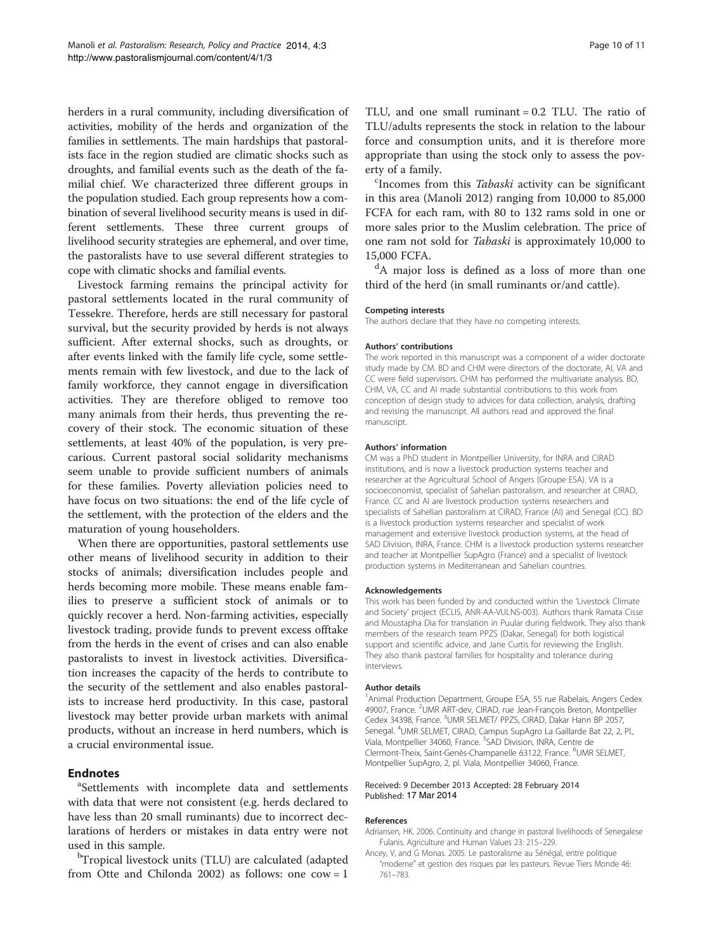<span id="page-9-0"></span>herders in a rural community, including diversification of activities, mobility of the herds and organization of the families in settlements. The main hardships that pastoralists face in the region studied are climatic shocks such as droughts, and familial events such as the death of the familial chief. We characterized three different groups in the population studied. Each group represents how a combination of several livelihood security means is used in different settlements. These three current groups of livelihood security strategies are ephemeral, and over time, the pastoralists have to use several different strategies to cope with climatic shocks and familial events.

Livestock farming remains the principal activity for pastoral settlements located in the rural community of Tessekre. Therefore, herds are still necessary for pastoral survival, but the security provided by herds is not always sufficient. After external shocks, such as droughts, or after events linked with the family life cycle, some settlements remain with few livestock, and due to the lack of family workforce, they cannot engage in diversification activities. They are therefore obliged to remove too many animals from their herds, thus preventing the recovery of their stock. The economic situation of these settlements, at least 40% of the population, is very precarious. Current pastoral social solidarity mechanisms seem unable to provide sufficient numbers of animals for these families. Poverty alleviation policies need to have focus on two situations: the end of the life cycle of the settlement, with the protection of the elders and the maturation of young householders.

When there are opportunities, pastoral settlements use other means of livelihood security in addition to their stocks of animals; diversification includes people and herds becoming more mobile. These means enable families to preserve a sufficient stock of animals or to quickly recover a herd. Non-farming activities, especially livestock trading, provide funds to prevent excess offtake from the herds in the event of crises and can also enable pastoralists to invest in livestock activities. Diversification increases the capacity of the herds to contribute to the security of the settlement and also enables pastoralists to increase herd productivity. In this case, pastoral livestock may better provide urban markets with animal products, without an increase in herd numbers, which is a crucial environmental issue.

# **Endnotes**

Settlements with incomplete data and settlements with data that were not consistent (e.g. herds declared to have less than 20 small ruminants) due to incorrect declarations of herders or mistakes in data entry were not used in this sample.

<sup>b</sup>Tropical livestock units (TLU) are calculated (adapted from Otte and Chilonda [2002](#page-10-0)) as follows: one cow =  $1$ 

TLU, and one small ruminant = 0.2 TLU. The ratio of TLU/adults represents the stock in relation to the labour force and consumption units, and it is therefore more appropriate than using the stock only to assess the poverty of a family.

 $\epsilon$ Incomes from this *Tabaski* activity can be significant in this area [\(Manoli 2012](#page-10-0)) ranging from 10,000 to 85,000 FCFA for each ram, with 80 to 132 rams sold in one or more sales prior to the Muslim celebration. The price of one ram not sold for Tabaski is approximately 10,000 to 15,000 FCFA.

<sup>d</sup>A major loss is defined as a loss of more than one third of the herd (in small ruminants or/and cattle).

### Competing interests

The authors declare that they have no competing interests.

### Authors' contributions

The work reported in this manuscript was a component of a wider doctorate study made by CM. BD and CHM were directors of the doctorate, AI, VA and CC were field supervisors. CHM has performed the multivariate analysis. BD, CHM, VA, CC and AI made substantial contributions to this work from conception of design study to advices for data collection, analysis, drafting and revising the manuscript. All authors read and approved the final manuscript.

### Authors' information

CM was a PhD student in Montpellier University, for INRA and CIRAD institutions, and is now a livestock production systems teacher and researcher at the Agricultural School of Angers (Groupe ESA). VA is a socioeconomist, specialist of Sahelian pastoralism, and researcher at CIRAD, France. CC and AI are livestock production systems researchers and specialists of Sahelian pastoralism at CIRAD, France (AI) and Senegal (CC). BD is a livestock production systems researcher and specialist of work management and extensive livestock production systems, at the head of SAD Division, INRA, France. CHM is a livestock production systems researcher and teacher at Montpellier SupAgro (France) and a specialist of livestock production systems in Mediterranean and Sahelian countries.

#### Acknowledgements

This work has been funded by and conducted within the 'Livestock Climate and Society' project (ECLIS, ANR-AA-VULNS-003). Authors thank Ramata Cisse and Moustapha Dia for translation in Puular during fieldwork. They also thank members of the research team PPZS (Dakar, Senegal) for both logistical support and scientific advice, and Jane Curtis for reviewing the English. They also thank pastoral families for hospitality and tolerance during interviews.

#### Author details

<sup>1</sup> Animal Production Department, Groupe ESA, 55 rue Rabelais, Angers Cedex 49007, France. <sup>2</sup>UMR ART-dev, CIRAD, rue Jean-François Breton, Montpellier Cedex 34398, France. <sup>3</sup>UMR SELMET/ PPZS, CIRAD, Dakar Hann BP 2057 Senegal. <sup>4</sup>UMR SELMET, CIRAD, Campus SupAgro La Gaillarde Bat 22, 2, Pl. Viala, Montpellier 34060, France. <sup>5</sup>SAD Division, INRA, Centre de Clermont-Theix, Saint-Genès-Champanelle 63122, France. <sup>6</sup>UMR SELMET, Montpellier SupAgro, 2, pl. Viala, Montpellier 34060, France.

## Received: 9 December 2013 Accepted: 28 February 2014 Published: 17 Mar 2014

## References

- Adriansen, HK. 2006. Continuity and change in pastoral livelihoods of Senegalese Fulanis. Agriculture and Human Values 23: 215–229.
- Ancey, V, and G Monas. 2005. Le pastoralisme au Sénégal, entre politique "moderne" et gestion des risques par les pasteurs. Revue Tiers Monde 46: 761–783.